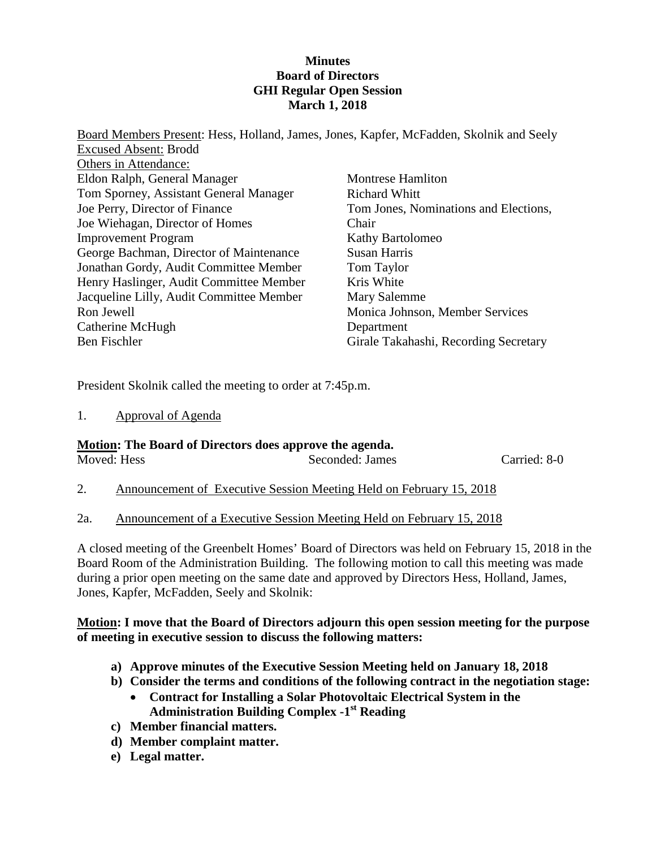## **Minutes Board of Directors GHI Regular Open Session March 1, 2018**

Board Members Present: Hess, Holland, James, Jones, Kapfer, McFadden, Skolnik and Seely Excused Absent: Brodd Others in Attendance: Eldon Ralph, General Manager Tom Sporney, Assistant General Manager Joe Perry, Director of Finance Joe Wiehagan, Director of Homes Improvement Program George Bachman, Director of Maintenance Jonathan Gordy, Audit Committee Member Henry Haslinger, Audit Committee Member Jacqueline Lilly, Audit Committee Member Ron Jewell Catherine McHugh Ben Fischler Montrese Hamliton Richard Whitt Tom Jones, Nominations and Elections, Chair Kathy Bartolomeo Susan Harris Tom Taylor Kris White Mary Salemme Monica Johnson, Member Services Department Girale Takahashi, Recording Secretary

President Skolnik called the meeting to order at 7:45p.m.

1. Approval of Agenda

# **Motion: The Board of Directors does approve the agenda.**

| Moved: Hess              |  | Seconded: James | Carried: 8-0  |  |
|--------------------------|--|-----------------|---------------|--|
| $\overline{\phantom{a}}$ |  | <u>.</u><br>- - | $- - - - - -$ |  |

2. Announcement of Executive Session Meeting Held on February 15, 2018

# 2a. Announcement of a Executive Session Meeting Held on February 15, 2018

A closed meeting of the Greenbelt Homes' Board of Directors was held on February 15, 2018 in the Board Room of the Administration Building. The following motion to call this meeting was made during a prior open meeting on the same date and approved by Directors Hess, Holland, James, Jones, Kapfer, McFadden, Seely and Skolnik:

## **Motion: I move that the Board of Directors adjourn this open session meeting for the purpose of meeting in executive session to discuss the following matters:**

- **a) Approve minutes of the Executive Session Meeting held on January 18, 2018**
- **b) Consider the terms and conditions of the following contract in the negotiation stage:**
	- **Contract for Installing a Solar Photovoltaic Electrical System in the Administration Building Complex -1st Reading**
- **c) Member financial matters.**
- **d) Member complaint matter.**
- **e) Legal matter.**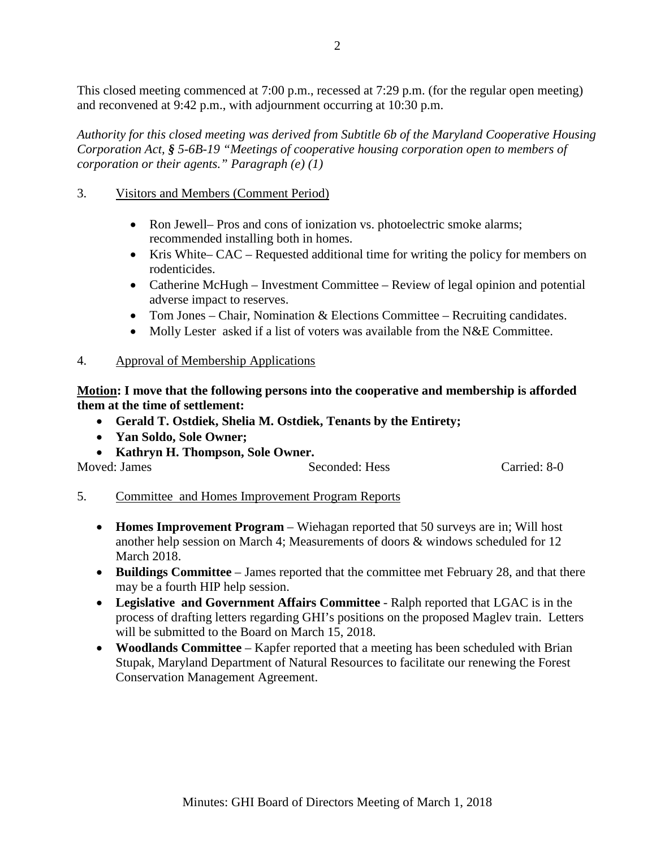This closed meeting commenced at 7:00 p.m., recessed at 7:29 p.m. (for the regular open meeting) and reconvened at 9:42 p.m., with adjournment occurring at 10:30 p.m.

*Authority for this closed meeting was derived from Subtitle 6b of the Maryland Cooperative Housing Corporation Act, § 5-6B-19 "Meetings of cooperative housing corporation open to members of corporation or their agents." Paragraph (e) (1)*

## 3. Visitors and Members (Comment Period)

- Ron Jewell– Pros and cons of ionization vs. photoelectric smoke alarms; recommended installing both in homes.
- Kris White– CAC Requested additional time for writing the policy for members on rodenticides.
- Catherine McHugh Investment Committee Review of legal opinion and potential adverse impact to reserves.
- Tom Jones Chair, Nomination & Elections Committee Recruiting candidates.
- Molly Lester asked if a list of voters was available from the N&E Committee.

## 4. Approval of Membership Applications

**Motion: I move that the following persons into the cooperative and membership is afforded them at the time of settlement:**

- **Gerald T. Ostdiek, Shelia M. Ostdiek, Tenants by the Entirety;**
- **Yan Soldo, Sole Owner;**
- **Kathryn H. Thompson, Sole Owner.**

| Moved: James | Seconded: Hess | Carried: 8-0 |
|--------------|----------------|--------------|

- 5. Committee and Homes Improvement Program Reports
	- **Homes Improvement Program** Wiehagan reported that 50 surveys are in; Will host another help session on March 4; Measurements of doors & windows scheduled for 12 March 2018.
	- **Buildings Committee** James reported that the committee met February 28, and that there may be a fourth HIP help session.
	- **Legislative and Government Affairs Committee** Ralph reported that LGAC is in the process of drafting letters regarding GHI's positions on the proposed Maglev train. Letters will be submitted to the Board on March 15, 2018.
	- **Woodlands Committee** Kapfer reported that a meeting has been scheduled with Brian Stupak, Maryland Department of Natural Resources to facilitate our renewing the Forest Conservation Management Agreement.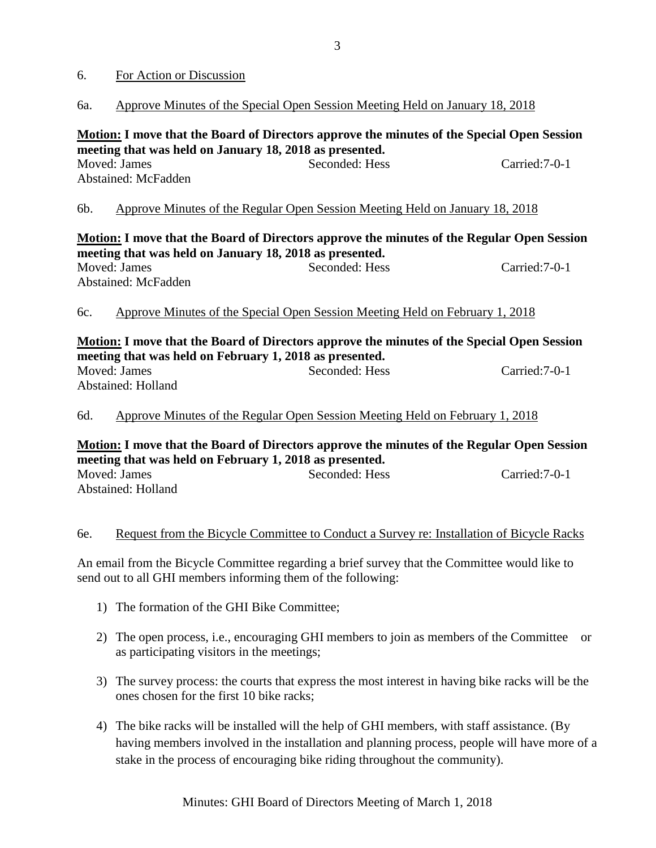#### 6. For Action or Discussion

#### 6a. Approve Minutes of the Special Open Session Meeting Held on January 18, 2018

**Motion: I move that the Board of Directors approve the minutes of the Special Open Session meeting that was held on January 18, 2018 as presented.** Moved: James Seconded: Hess Carried:7-0-1 Abstained: McFadden

## 6b. Approve Minutes of the Regular Open Session Meeting Held on January 18, 2018

|                                                         | Motion: I move that the Board of Directors approve the minutes of the Regular Open Session |                |  |
|---------------------------------------------------------|--------------------------------------------------------------------------------------------|----------------|--|
| meeting that was held on January 18, 2018 as presented. |                                                                                            |                |  |
| Moved: James                                            | Seconded: Hess                                                                             | Carried: 7-0-1 |  |
| Abstained: McFadden                                     |                                                                                            |                |  |
|                                                         |                                                                                            |                |  |

## 6c. Approve Minutes of the Special Open Session Meeting Held on February 1, 2018

## **Motion: I move that the Board of Directors approve the minutes of the Special Open Session meeting that was held on February 1, 2018 as presented.** Moved: James Seconded: Hess Carried:7-0-1 Abstained: Holland

## 6d. Approve Minutes of the Regular Open Session Meeting Held on February 1, 2018

**Motion: I move that the Board of Directors approve the minutes of the Regular Open Session meeting that was held on February 1, 2018 as presented.** Moved: James Seconded: Hess Carried:7-0-1 Abstained: Holland

#### 6e. Request from the Bicycle Committee to Conduct a Survey re: Installation of Bicycle Racks

An email from the Bicycle Committee regarding a brief survey that the Committee would like to send out to all GHI members informing them of the following:

- 1) The formation of the GHI Bike Committee;
- 2) The open process, i.e., encouraging GHI members to join as members of the Committee or as participating visitors in the meetings;
- 3) The survey process: the courts that express the most interest in having bike racks will be the ones chosen for the first 10 bike racks;
- 4) The bike racks will be installed will the help of GHI members, with staff assistance. (By having members involved in the installation and planning process, people will have more of a stake in the process of encouraging bike riding throughout the community).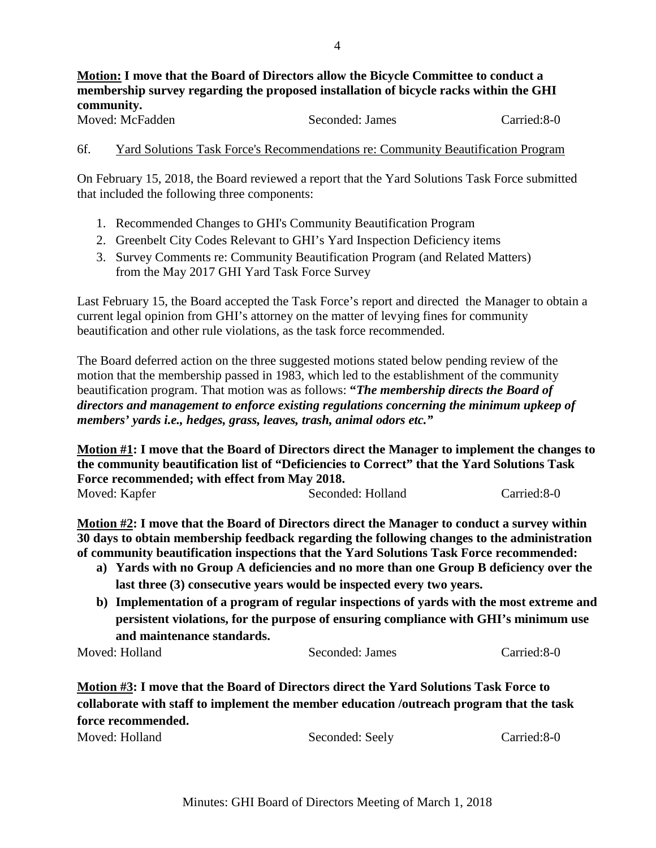# **Motion: I move that the Board of Directors allow the Bicycle Committee to conduct a membership survey regarding the proposed installation of bicycle racks within the GHI community.**

Moved: McFadden Seconded: James Carried:8-0

#### 6f. Yard Solutions Task Force's Recommendations re: Community Beautification Program

On February 15, 2018, the Board reviewed a report that the Yard Solutions Task Force submitted that included the following three components:

- 1. Recommended Changes to GHI's Community Beautification Program
- 2. Greenbelt City Codes Relevant to GHI's Yard Inspection Deficiency items
- 3. Survey Comments re: Community Beautification Program (and Related Matters) from the May 2017 GHI Yard Task Force Survey

Last February 15, the Board accepted the Task Force's report and directed the Manager to obtain a current legal opinion from GHI's attorney on the matter of levying fines for community beautification and other rule violations, as the task force recommended.

The Board deferred action on the three suggested motions stated below pending review of the motion that the membership passed in 1983, which led to the establishment of the community beautification program. That motion was as follows: **"***The membership directs the Board of directors and management to enforce existing regulations concerning the minimum upkeep of members' yards i.e., hedges, grass, leaves, trash, animal odors etc."*

**Motion #1: I move that the Board of Directors direct the Manager to implement the changes to the community beautification list of "Deficiencies to Correct" that the Yard Solutions Task Force recommended; with effect from May 2018.** Moved: Kapfer Seconded: Holland Carried:8-0

**Motion #2: I move that the Board of Directors direct the Manager to conduct a survey within 30 days to obtain membership feedback regarding the following changes to the administration of community beautification inspections that the Yard Solutions Task Force recommended:**

- **a) Yards with no Group A deficiencies and no more than one Group B deficiency over the last three (3) consecutive years would be inspected every two years.**
- **b) Implementation of a program of regular inspections of yards with the most extreme and persistent violations, for the purpose of ensuring compliance with GHI's minimum use and maintenance standards.**

Moved: Holland Seconded: James Carried:8-0

**Motion #3: I move that the Board of Directors direct the Yard Solutions Task Force to collaborate with staff to implement the member education /outreach program that the task force recommended.**

Moved: Holland Seconded: Seely Carried:8-0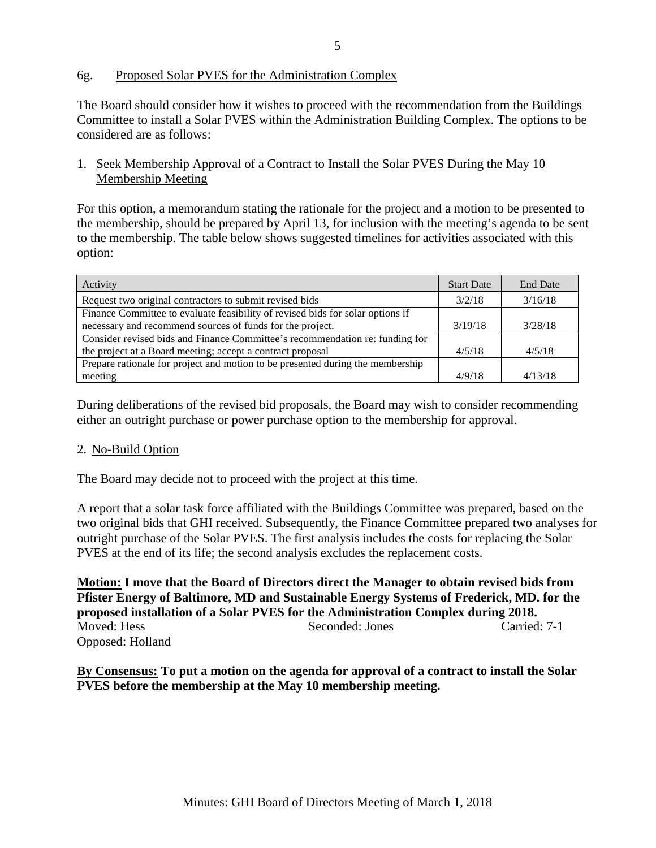## 6g. Proposed Solar PVES for the Administration Complex

The Board should consider how it wishes to proceed with the recommendation from the Buildings Committee to install a Solar PVES within the Administration Building Complex. The options to be considered are as follows:

## 1. Seek Membership Approval of a Contract to Install the Solar PVES During the May 10 Membership Meeting

For this option, a memorandum stating the rationale for the project and a motion to be presented to the membership, should be prepared by April 13, for inclusion with the meeting's agenda to be sent to the membership. The table below shows suggested timelines for activities associated with this option:

| Activity                                                                       | <b>Start Date</b> | <b>End Date</b> |
|--------------------------------------------------------------------------------|-------------------|-----------------|
| Request two original contractors to submit revised bids                        | 3/2/18            | 3/16/18         |
| Finance Committee to evaluate feasibility of revised bids for solar options if |                   |                 |
| necessary and recommend sources of funds for the project.                      | 3/19/18           | 3/28/18         |
| Consider revised bids and Finance Committee's recommendation re: funding for   |                   |                 |
| the project at a Board meeting; accept a contract proposal                     | 4/5/18            | 4/5/18          |
| Prepare rationale for project and motion to be presented during the membership |                   |                 |
| meeting                                                                        | 4/9/18            | 4/13/18         |

During deliberations of the revised bid proposals, the Board may wish to consider recommending either an outright purchase or power purchase option to the membership for approval.

## 2. No-Build Option

The Board may decide not to proceed with the project at this time.

A report that a solar task force affiliated with the Buildings Committee was prepared, based on the two original bids that GHI received. Subsequently, the Finance Committee prepared two analyses for outright purchase of the Solar PVES. The first analysis includes the costs for replacing the Solar PVES at the end of its life; the second analysis excludes the replacement costs.

**Motion: I move that the Board of Directors direct the Manager to obtain revised bids from Pfister Energy of Baltimore, MD and Sustainable Energy Systems of Frederick, MD. for the proposed installation of a Solar PVES for the Administration Complex during 2018.** Moved: Hess Seconded: Jones Carried: 7-1 Opposed: Holland

**By Consensus: To put a motion on the agenda for approval of a contract to install the Solar PVES before the membership at the May 10 membership meeting.**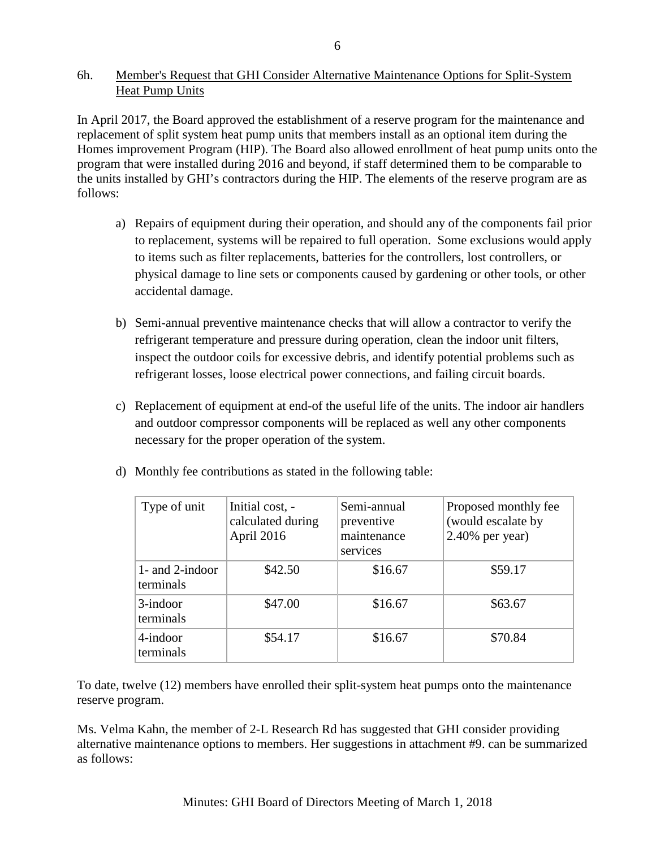## 6h. Member's Request that GHI Consider Alternative Maintenance Options for Split-System **Heat Pump Units**

In April 2017, the Board approved the establishment of a reserve program for the maintenance and replacement of split system heat pump units that members install as an optional item during the Homes improvement Program (HIP). The Board also allowed enrollment of heat pump units onto the program that were installed during 2016 and beyond, if staff determined them to be comparable to the units installed by GHI's contractors during the HIP. The elements of the reserve program are as follows:

- a) Repairs of equipment during their operation, and should any of the components fail prior to replacement, systems will be repaired to full operation. Some exclusions would apply to items such as filter replacements, batteries for the controllers, lost controllers, or physical damage to line sets or components caused by gardening or other tools, or other accidental damage.
- b) Semi-annual preventive maintenance checks that will allow a contractor to verify the refrigerant temperature and pressure during operation, clean the indoor unit filters, inspect the outdoor coils for excessive debris, and identify potential problems such as refrigerant losses, loose electrical power connections, and failing circuit boards.
- c) Replacement of equipment at end-of the useful life of the units. The indoor air handlers and outdoor compressor components will be replaced as well any other components necessary for the proper operation of the system.

| Type of unit                    | Initial cost, -<br>calculated during<br>April 2016 | Semi-annual<br>preventive<br>maintenance<br>services | Proposed monthly fee<br>(would escalate by<br>$2.40\%$ per year) |
|---------------------------------|----------------------------------------------------|------------------------------------------------------|------------------------------------------------------------------|
| 1- and $2$ -indoor<br>terminals | \$42.50                                            | \$16.67                                              | \$59.17                                                          |
| 3-indoor<br>terminals           | \$47.00                                            | \$16.67                                              | \$63.67                                                          |
| 4-indoor<br>terminals           | \$54.17                                            | \$16.67                                              | \$70.84                                                          |

d) Monthly fee contributions as stated in the following table:

To date, twelve (12) members have enrolled their split-system heat pumps onto the maintenance reserve program.

Ms. Velma Kahn, the member of 2-L Research Rd has suggested that GHI consider providing alternative maintenance options to members. Her suggestions in attachment #9. can be summarized as follows: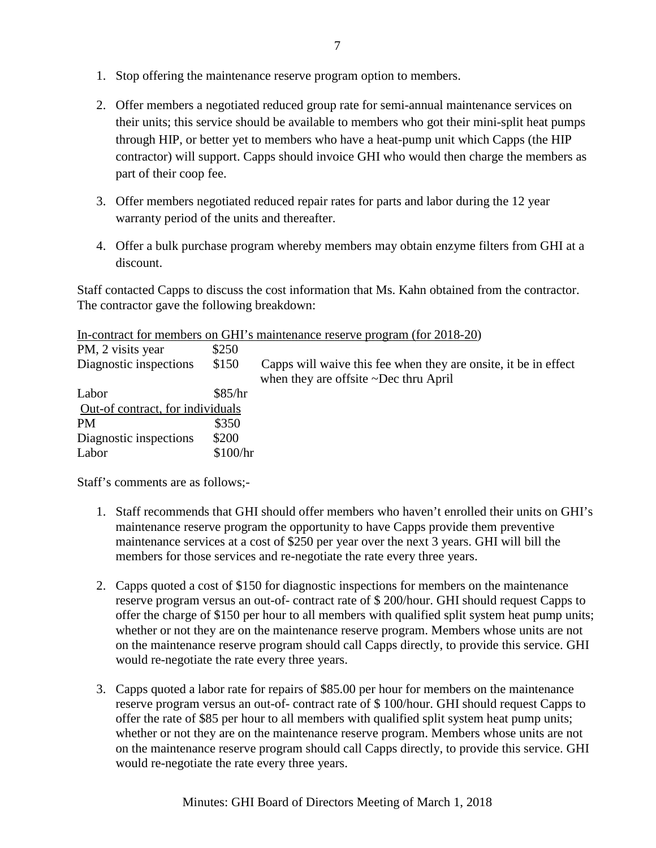- 1. Stop offering the maintenance reserve program option to members.
- 2. Offer members a negotiated reduced group rate for semi-annual maintenance services on their units; this service should be available to members who got their mini-split heat pumps through HIP, or better yet to members who have a heat-pump unit which Capps (the HIP contractor) will support. Capps should invoice GHI who would then charge the members as part of their coop fee.
- 3. Offer members negotiated reduced repair rates for parts and labor during the 12 year warranty period of the units and thereafter.
- 4. Offer a bulk purchase program whereby members may obtain enzyme filters from GHI at a discount.

Staff contacted Capps to discuss the cost information that Ms. Kahn obtained from the contractor. The contractor gave the following breakdown:

In-contract for members on GHI's maintenance reserve program (for 2018-20)

| PM, 2 visits year                | \$250    |                                                                                                          |
|----------------------------------|----------|----------------------------------------------------------------------------------------------------------|
| Diagnostic inspections           | \$150    | Capps will waive this fee when they are onsite, it be in effect<br>when they are offsite ~Dec thru April |
| Labor                            | \$85/hr  |                                                                                                          |
| Out-of contract, for individuals |          |                                                                                                          |
| <b>PM</b>                        | \$350    |                                                                                                          |
| Diagnostic inspections           | \$200    |                                                                                                          |
| Labor                            | \$100/hr |                                                                                                          |

Staff's comments are as follows;-

- 1. Staff recommends that GHI should offer members who haven't enrolled their units on GHI's maintenance reserve program the opportunity to have Capps provide them preventive maintenance services at a cost of \$250 per year over the next 3 years. GHI will bill the members for those services and re-negotiate the rate every three years.
- 2. Capps quoted a cost of \$150 for diagnostic inspections for members on the maintenance reserve program versus an out-of- contract rate of \$ 200/hour. GHI should request Capps to offer the charge of \$150 per hour to all members with qualified split system heat pump units; whether or not they are on the maintenance reserve program. Members whose units are not on the maintenance reserve program should call Capps directly, to provide this service. GHI would re-negotiate the rate every three years.
- 3. Capps quoted a labor rate for repairs of \$85.00 per hour for members on the maintenance reserve program versus an out-of- contract rate of \$ 100/hour. GHI should request Capps to offer the rate of \$85 per hour to all members with qualified split system heat pump units; whether or not they are on the maintenance reserve program. Members whose units are not on the maintenance reserve program should call Capps directly, to provide this service. GHI would re-negotiate the rate every three years.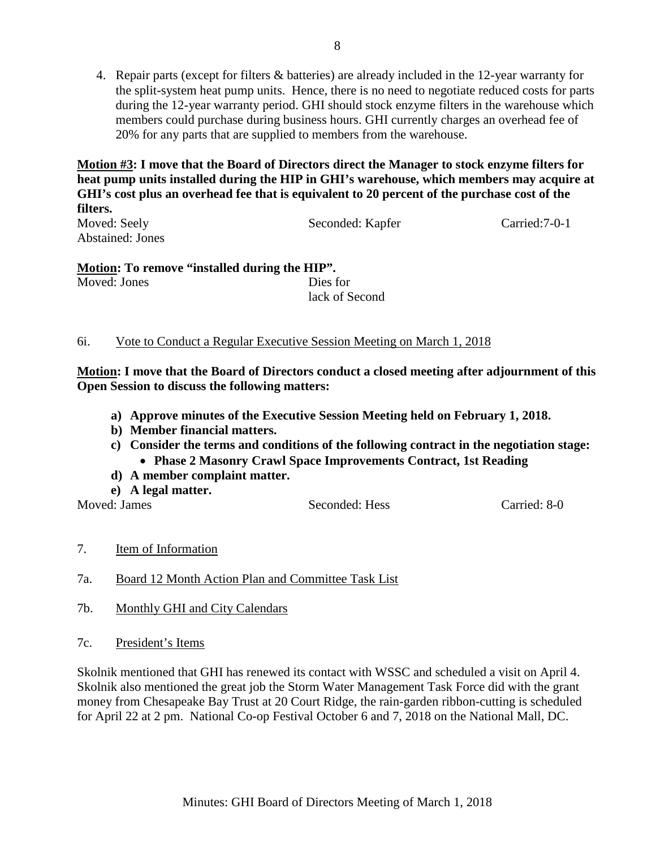4. Repair parts (except for filters & batteries) are already included in the 12-year warranty for the split-system heat pump units. Hence, there is no need to negotiate reduced costs for parts during the 12-year warranty period. GHI should stock enzyme filters in the warehouse which members could purchase during business hours. GHI currently charges an overhead fee of 20% for any parts that are supplied to members from the warehouse.

**Motion #3: I move that the Board of Directors direct the Manager to stock enzyme filters for heat pump units installed during the HIP in GHI's warehouse, which members may acquire at GHI's cost plus an overhead fee that is equivalent to 20 percent of the purchase cost of the filters.**

Moved: Seely Seconded: Kapfer Carried: 7-0-1 Abstained: Jones

**Motion: To remove "installed during the HIP".** Moved: Jones Dies for lack of Second

## 6i. Vote to Conduct a Regular Executive Session Meeting on March 1, 2018

**Motion: I move that the Board of Directors conduct a closed meeting after adjournment of this Open Session to discuss the following matters:**

- **a) Approve minutes of the Executive Session Meeting held on February 1, 2018.**
- **b) Member financial matters.**
- **c) Consider the terms and conditions of the following contract in the negotiation stage:** • **Phase 2 Masonry Crawl Space Improvements Contract, 1st Reading**
- **d) A member complaint matter.**
- **e) A legal matter.**

Moved: James Seconded: Hess Carried: 8-0

- 7. Item of Information
- 7a. Board 12 Month Action Plan and Committee Task List
- 7b. Monthly GHI and City Calendars
- 7c. President's Items

Skolnik mentioned that GHI has renewed its contact with WSSC and scheduled a visit on April 4. Skolnik also mentioned the great job the Storm Water Management Task Force did with the grant money from Chesapeake Bay Trust at 20 Court Ridge, the rain-garden ribbon-cutting is scheduled for April 22 at 2 pm. National Co-op Festival October 6 and 7, 2018 on the National Mall, DC.